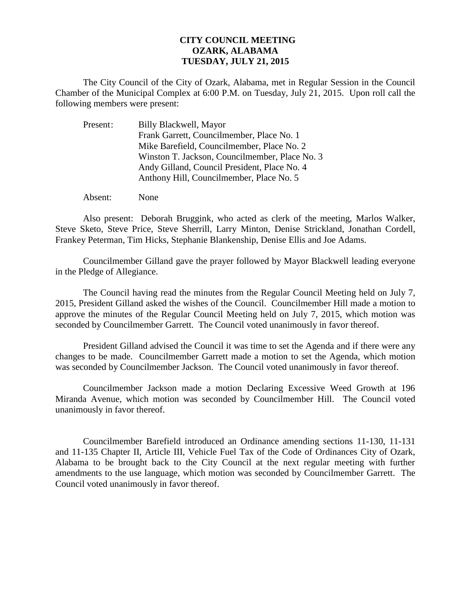## **CITY COUNCIL MEETING OZARK, ALABAMA TUESDAY, JULY 21, 2015**

The City Council of the City of Ozark, Alabama, met in Regular Session in the Council Chamber of the Municipal Complex at 6:00 P.M. on Tuesday, July 21, 2015. Upon roll call the following members were present:

| Present: | Billy Blackwell, Mayor                         |
|----------|------------------------------------------------|
|          | Frank Garrett, Councilmember, Place No. 1      |
|          | Mike Barefield, Councilmember, Place No. 2     |
|          | Winston T. Jackson, Councilmember, Place No. 3 |
|          | Andy Gilland, Council President, Place No. 4   |
|          | Anthony Hill, Councilmember, Place No. 5       |
|          |                                                |

Absent: None

Also present: Deborah Bruggink, who acted as clerk of the meeting, Marlos Walker, Steve Sketo, Steve Price, Steve Sherrill, Larry Minton, Denise Strickland, Jonathan Cordell, Frankey Peterman, Tim Hicks, Stephanie Blankenship, Denise Ellis and Joe Adams.

Councilmember Gilland gave the prayer followed by Mayor Blackwell leading everyone in the Pledge of Allegiance.

The Council having read the minutes from the Regular Council Meeting held on July 7, 2015, President Gilland asked the wishes of the Council. Councilmember Hill made a motion to approve the minutes of the Regular Council Meeting held on July 7, 2015, which motion was seconded by Councilmember Garrett. The Council voted unanimously in favor thereof.

President Gilland advised the Council it was time to set the Agenda and if there were any changes to be made. Councilmember Garrett made a motion to set the Agenda, which motion was seconded by Councilmember Jackson. The Council voted unanimously in favor thereof.

 Councilmember Jackson made a motion Declaring Excessive Weed Growth at 196 Miranda Avenue, which motion was seconded by Councilmember Hill. The Council voted unanimously in favor thereof.

Councilmember Barefield introduced an Ordinance amending sections 11-130, 11-131 and 11-135 Chapter II, Article III, Vehicle Fuel Tax of the Code of Ordinances City of Ozark, Alabama to be brought back to the City Council at the next regular meeting with further amendments to the use language, which motion was seconded by Councilmember Garrett. The Council voted unanimously in favor thereof.